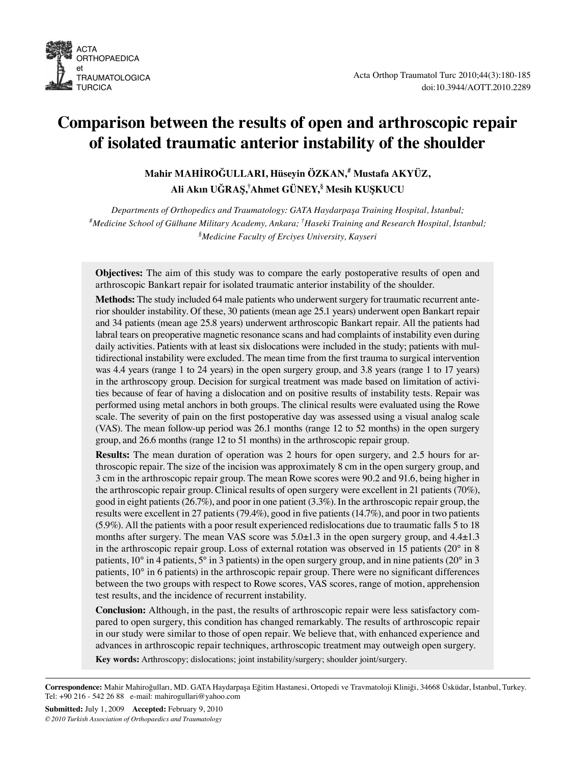

# **Comparison between the results of open and arthroscopic repair of isolated traumatic anterior instability of the shoulder**

**Mahir MAHİROĞULLARI, Hüseyin ÖZKAN,# Mustafa AKYÜZ, Ali Akın UĞRAŞ,† Ahmet GÜNEY,§ Mesih KUŞKUCU**

*Departments of Orthopedics and Traumatology: GATA Haydarpaşa Training Hospital, İstanbul; # Medicine School of Gülhane Military Academy, Ankara; † Haseki Training and Research Hospital, İstanbul; § Medicine Faculty of Erciyes University, Kayseri*

**Objectives:** The aim of this study was to compare the early postoperative results of open and arthroscopic Bankart repair for isolated traumatic anterior instability of the shoulder.

**Methods:** The study included 64 male patients who underwent surgery for traumatic recurrent anterior shoulder instability. Of these, 30 patients (mean age 25.1 years) underwent open Bankart repair and 34 patients (mean age 25.8 years) underwent arthroscopic Bankart repair. All the patients had labral tears on preoperative magnetic resonance scans and had complaints of instability even during daily activities. Patients with at least six dislocations were included in the study; patients with multidirectional instability were excluded. The mean time from the first trauma to surgical intervention was 4.4 years (range 1 to 24 years) in the open surgery group, and 3.8 years (range 1 to 17 years) in the arthroscopy group. Decision for surgical treatment was made based on limitation of activities because of fear of having a dislocation and on positive results of instability tests. Repair was performed using metal anchors in both groups. The clinical results were evaluated using the Rowe scale. The severity of pain on the first postoperative day was assessed using a visual analog scale (VAS). The mean follow-up period was 26.1 months (range 12 to 52 months) in the open surgery group, and 26.6 months (range 12 to 51 months) in the arthroscopic repair group.

**Results:** The mean duration of operation was 2 hours for open surgery, and 2.5 hours for arthroscopic repair. The size of the incision was approximately 8 cm in the open surgery group, and 3 cm in the arthroscopic repair group. The mean Rowe scores were 90.2 and 91.6, being higher in the arthroscopic repair group. Clinical results of open surgery were excellent in 21 patients (70%), good in eight patients (26.7%), and poor in one patient (3.3%). In the arthroscopic repair group, the results were excellent in 27 patients (79.4%), good in five patients (14.7%), and poor in two patients (5.9%). All the patients with a poor result experienced redislocations due to traumatic falls 5 to 18 months after surgery. The mean VAS score was  $5.0 \pm 1.3$  in the open surgery group, and  $4.4 \pm 1.3$ in the arthroscopic repair group. Loss of external rotation was observed in 15 patients (20° in 8 patients, 10° in 4 patients, 5° in 3 patients) in the open surgery group, and in nine patients (20° in 3 patients, 10° in 6 patients) in the arthroscopic repair group. There were no significant differences between the two groups with respect to Rowe scores, VAS scores, range of motion, apprehension test results, and the incidence of recurrent instability.

**Conclusion:** Although, in the past, the results of arthroscopic repair were less satisfactory compared to open surgery, this condition has changed remarkably. The results of arthroscopic repair in our study were similar to those of open repair. We believe that, with enhanced experience and advances in arthroscopic repair techniques, arthroscopic treatment may outweigh open surgery.

**Key words:** Arthroscopy; dislocations; joint instability/surgery; shoulder joint/surgery.

**Correspondence:** Mahir Mahiroğulları, MD. GATA Haydarpaşa Eğitim Hastanesi, Ortopedi ve Travmatoloji Kliniği, 34668 Üsküdar, İstanbul, Turkey. Tel: +90 216 - 542 26 88 e-mail: mahirogullari@yahoo.com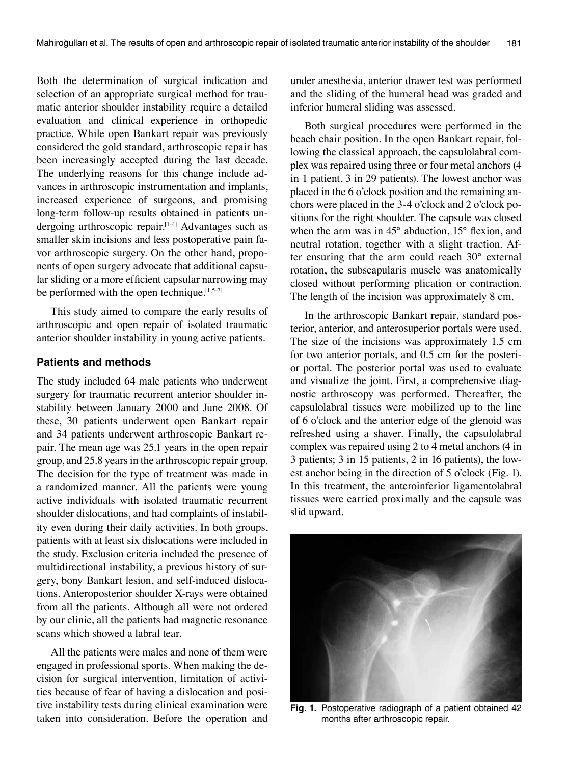Both the determination of surgical indication and selection of an appropriate surgical method for traumatic anterior shoulder instability require a detailed evaluation and clinical experience in orthopedic practice. While open Bankart repair was previously considered the gold standard, arthroscopic repair has been increasingly accepted during the last decade. The underlying reasons for this change include advances in arthroscopic instrumentation and implants, increased experience of surgeons, and promising long-term follow-up results obtained in patients undergoing arthroscopic repair.[1-4] Advantages such as smaller skin incisions and less postoperative pain favor arthroscopic surgery. On the other hand, proponents of open surgery advocate that additional capsular sliding or a more efficient capsular narrowing may be performed with the open technique. $[1,5-7]$ 

This study aimed to compare the early results of arthroscopic and open repair of isolated traumatic anterior shoulder instability in young active patients.

### **Patients and methods**

The study included 64 male patients who underwent surgery for traumatic recurrent anterior shoulder instability between January 2000 and June 2008. Of these, 30 patients underwent open Bankart repair and 34 patients underwent arthroscopic Bankart repair. The mean age was 25.1 years in the open repair group, and 25.8 years in the arthroscopic repair group. The decision for the type of treatment was made in a randomized manner. All the patients were young active individuals with isolated traumatic recurrent shoulder dislocations, and had complaints of instability even during their daily activities. In both groups, patients with at least six dislocations were included in the study. Exclusion criteria included the presence of multidirectional instability, a previous history of surgery, bony Bankart lesion, and self-induced dislocations. Anteroposterior shoulder X-rays were obtained from all the patients. Although all were not ordered by our clinic, all the patients had magnetic resonance scans which showed a labral tear.

All the patients were males and none of them were engaged in professional sports. When making the decision for surgical intervention, limitation of activities because of fear of having a dislocation and positive instability tests during clinical examination were taken into consideration. Before the operation and under anesthesia, anterior drawer test was performed and the sliding of the humeral head was graded and inferior humeral sliding was assessed.

Both surgical procedures were performed in the beach chair position. In the open Bankart repair, following the classical approach, the capsulolabral complex was repaired using three or four metal anchors (4 in 1 patient, 3 in 29 patients). The lowest anchor was placed in the 6 o'clock position and the remaining anchors were placed in the 3-4 o'clock and 2 o'clock positions for the right shoulder. The capsule was closed when the arm was in 45° abduction, 15° flexion, and neutral rotation, together with a slight traction. After ensuring that the arm could reach 30° external rotation, the subscapularis muscle was anatomically closed without performing plication or contraction. The length of the incision was approximately 8 cm.

In the arthroscopic Bankart repair, standard posterior, anterior, and anterosuperior portals were used. The size of the incisions was approximately 1.5 cm for two anterior portals, and 0.5 cm for the posterior portal. The posterior portal was used to evaluate and visualize the joint. First, a comprehensive diagnostic arthroscopy was performed. Thereafter, the capsulolabral tissues were mobilized up to the line of 6 o'clock and the anterior edge of the glenoid was refreshed using a shaver. Finally, the capsulolabral complex was repaired using 2 to 4 metal anchors (4 in 3 patients; 3 in 15 patients, 2 in 16 patients), the lowest anchor being in the direction of 5 o'clock (Fig. 1). In this treatment, the anteroinferior ligamentolabral tissues were carried proximally and the capsule was slid upward.



**Fig. 1.** Postoperative radiograph of a patient obtained 42 months after arthroscopic repair.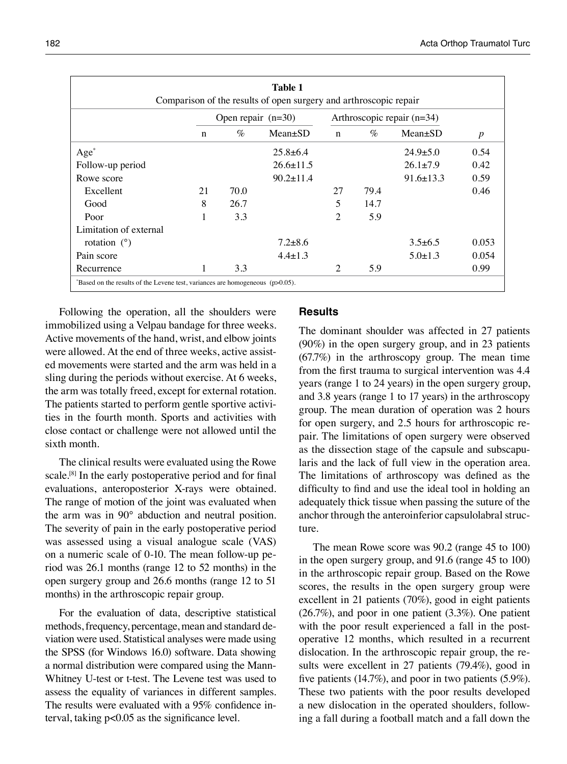| Table 1<br>Comparison of the results of open surgery and arthroscopic repair |                      |      |                 |                              |      |                 |                  |
|------------------------------------------------------------------------------|----------------------|------|-----------------|------------------------------|------|-----------------|------------------|
|                                                                              | Open repair $(n=30)$ |      |                 | Arthroscopic repair $(n=34)$ |      |                 |                  |
|                                                                              | $\mathbf n$          | $\%$ | $Mean \pm SD$   | $\mathbf n$                  | $\%$ | $Mean \pm SD$   | $\boldsymbol{p}$ |
| $Age^*$                                                                      |                      |      | $25.8 \pm 6.4$  |                              |      | $24.9 \pm 5.0$  | 0.54             |
| Follow-up period                                                             |                      |      | $26.6 \pm 11.5$ |                              |      | $26.1 \pm 7.9$  | 0.42             |
| Rowe score                                                                   |                      |      | $90.2 \pm 11.4$ |                              |      | $91.6 \pm 13.3$ | 0.59             |
| Excellent                                                                    | 21                   | 70.0 |                 | 27                           | 79.4 |                 | 0.46             |
| Good                                                                         | 8                    | 26.7 |                 | 5                            | 14.7 |                 |                  |
| Poor                                                                         | 1                    | 3.3  |                 | 2                            | 5.9  |                 |                  |
| Limitation of external                                                       |                      |      |                 |                              |      |                 |                  |
| rotation $(°)$                                                               |                      |      | $7.2 \pm 8.6$   |                              |      | $3.5\pm 6.5$    | 0.053            |
| Pain score                                                                   |                      |      | $4.4 \pm 1.3$   |                              |      | $5.0 \pm 1.3$   | 0.054            |
| Recurrence                                                                   | 1                    | 3.3  |                 | 2                            | 5.9  |                 | 0.99             |

Following the operation, all the shoulders were immobilized using a Velpau bandage for three weeks. Active movements of the hand, wrist, and elbow joints were allowed. At the end of three weeks, active assisted movements were started and the arm was held in a sling during the periods without exercise. At 6 weeks, the arm was totally freed, except for external rotation. The patients started to perform gentle sportive activities in the fourth month. Sports and activities with close contact or challenge were not allowed until the sixth month.

The clinical results were evaluated using the Rowe scale.<sup>[8]</sup> In the early postoperative period and for final evaluations, anteroposterior X-rays were obtained. The range of motion of the joint was evaluated when the arm was in 90° abduction and neutral position. The severity of pain in the early postoperative period was assessed using a visual analogue scale (VAS) on a numeric scale of 0-10. The mean follow-up period was 26.1 months (range 12 to 52 months) in the open surgery group and 26.6 months (range 12 to 51 months) in the arthroscopic repair group.

For the evaluation of data, descriptive statistical methods, frequency, percentage, mean and standard deviation were used. Statistical analyses were made using the SPSS (for Windows 16.0) software. Data showing a normal distribution were compared using the Mann-Whitney U-test or t-test. The Levene test was used to assess the equality of variances in different samples. The results were evaluated with a 95% confidence interval, taking p<0.05 as the significance level.

## **Results**

The dominant shoulder was affected in 27 patients (90%) in the open surgery group, and in 23 patients (67.7%) in the arthroscopy group. The mean time from the first trauma to surgical intervention was 4.4 years (range 1 to 24 years) in the open surgery group, and 3.8 years (range 1 to 17 years) in the arthroscopy group. The mean duration of operation was 2 hours for open surgery, and 2.5 hours for arthroscopic repair. The limitations of open surgery were observed as the dissection stage of the capsule and subscapularis and the lack of full view in the operation area. The limitations of arthroscopy was defined as the difficulty to find and use the ideal tool in holding an adequately thick tissue when passing the suture of the anchor through the anteroinferior capsulolabral structure.

The mean Rowe score was 90.2 (range 45 to 100) in the open surgery group, and 91.6 (range 45 to 100) in the arthroscopic repair group. Based on the Rowe scores, the results in the open surgery group were excellent in 21 patients (70%), good in eight patients (26.7%), and poor in one patient (3.3%). One patient with the poor result experienced a fall in the postoperative 12 months, which resulted in a recurrent dislocation. In the arthroscopic repair group, the results were excellent in 27 patients (79.4%), good in five patients (14.7%), and poor in two patients (5.9%). These two patients with the poor results developed a new dislocation in the operated shoulders, following a fall during a football match and a fall down the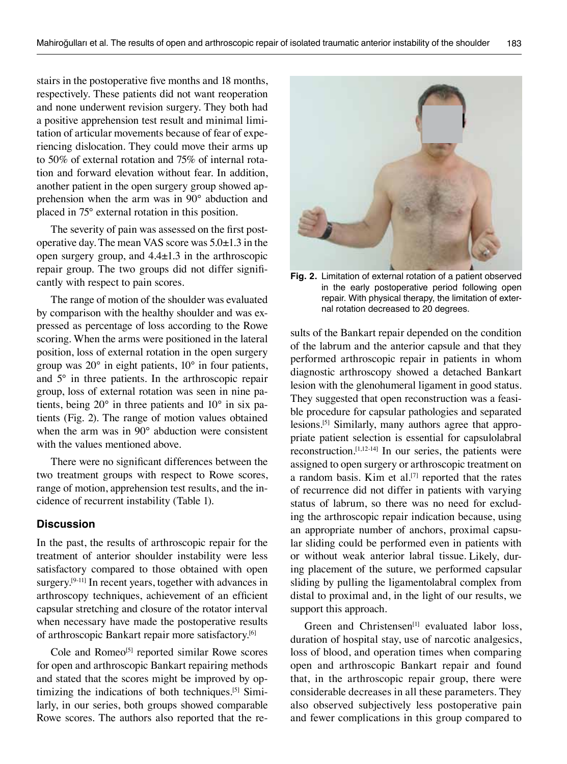stairs in the postoperative five months and 18 months, respectively. These patients did not want reoperation and none underwent revision surgery. They both had a positive apprehension test result and minimal limitation of articular movements because of fear of experiencing dislocation. They could move their arms up to 50% of external rotation and 75% of internal rotation and forward elevation without fear. In addition, another patient in the open surgery group showed apprehension when the arm was in 90° abduction and placed in 75° external rotation in this position.

The severity of pain was assessed on the first postoperative day. The mean VAS score was 5.0±1.3 in the open surgery group, and  $4.4 \pm 1.3$  in the arthroscopic repair group. The two groups did not differ significantly with respect to pain scores.

The range of motion of the shoulder was evaluated by comparison with the healthy shoulder and was expressed as percentage of loss according to the Rowe scoring. When the arms were positioned in the lateral position, loss of external rotation in the open surgery group was 20° in eight patients, 10° in four patients, and 5° in three patients. In the arthroscopic repair group, loss of external rotation was seen in nine patients, being 20° in three patients and 10° in six patients (Fig. 2). The range of motion values obtained when the arm was in 90° abduction were consistent with the values mentioned above.

There were no significant differences between the two treatment groups with respect to Rowe scores, range of motion, apprehension test results, and the incidence of recurrent instability (Table 1).

#### **Discussion**

In the past, the results of arthroscopic repair for the treatment of anterior shoulder instability were less satisfactory compared to those obtained with open surgery.<sup>[9-11]</sup> In recent years, together with advances in arthroscopy techniques, achievement of an efficient capsular stretching and closure of the rotator interval when necessary have made the postoperative results of arthroscopic Bankart repair more satisfactory.<sup>[6]</sup>

Cole and Romeo<sup>[5]</sup> reported similar Rowe scores for open and arthroscopic Bankart repairing methods and stated that the scores might be improved by optimizing the indications of both techniques.[5] Similarly, in our series, both groups showed comparable Rowe scores. The authors also reported that the re-



**Fig. 2.** Limitation of external rotation of a patient observed in the early postoperative period following open repair. With physical therapy, the limitation of external rotation decreased to 20 degrees.

sults of the Bankart repair depended on the condition of the labrum and the anterior capsule and that they performed arthroscopic repair in patients in whom diagnostic arthroscopy showed a detached Bankart lesion with the glenohumeral ligament in good status. They suggested that open reconstruction was a feasible procedure for capsular pathologies and separated lesions.<sup>[5]</sup> Similarly, many authors agree that appropriate patient selection is essential for capsulolabral reconstruction.[1,12-14] In our series, the patients were assigned to open surgery or arthroscopic treatment on a random basis. Kim et al.<sup>[7]</sup> reported that the rates of recurrence did not differ in patients with varying status of labrum, so there was no need for excluding the arthroscopic repair indication because, using an appropriate number of anchors, proximal capsular sliding could be performed even in patients with or without weak anterior labral tissue. Likely, during placement of the suture, we performed capsular sliding by pulling the ligamentolabral complex from distal to proximal and, in the light of our results, we support this approach.

Green and Christensen<sup>[1]</sup> evaluated labor loss, duration of hospital stay, use of narcotic analgesics, loss of blood, and operation times when comparing open and arthroscopic Bankart repair and found that, in the arthroscopic repair group, there were considerable decreases in all these parameters. They also observed subjectively less postoperative pain and fewer complications in this group compared to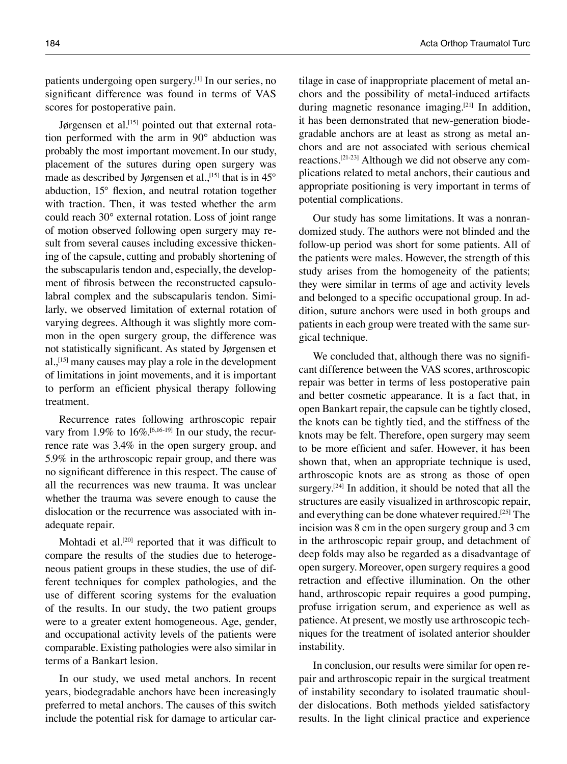patients undergoing open surgery.[1] In our series, no significant difference was found in terms of VAS scores for postoperative pain.

Jørgensen et al.<sup>[15]</sup> pointed out that external rotation performed with the arm in 90° abduction was probably the most important movement.In our study, placement of the sutures during open surgery was made as described by Jørgensen et al., [15] that is in  $45^{\circ}$ abduction, 15° flexion, and neutral rotation together with traction. Then, it was tested whether the arm could reach 30° external rotation. Loss of joint range of motion observed following open surgery may result from several causes including excessive thickening of the capsule, cutting and probably shortening of the subscapularis tendon and, especially, the development of fibrosis between the reconstructed capsulolabral complex and the subscapularis tendon. Similarly, we observed limitation of external rotation of varying degrees. Although it was slightly more common in the open surgery group, the difference was not statistically significant. As stated by Jørgensen et al.,<sup>[15]</sup> many causes may play a role in the development of limitations in joint movements, and it is important to perform an efficient physical therapy following treatment.

Recurrence rates following arthroscopic repair vary from 1.9% to 16%.<sup>[6,16-19]</sup> In our study, the recurrence rate was 3.4% in the open surgery group, and 5.9% in the arthroscopic repair group, and there was no significant difference in this respect. The cause of all the recurrences was new trauma. It was unclear whether the trauma was severe enough to cause the dislocation or the recurrence was associated with inadequate repair.

Mohtadi et al.<sup>[20]</sup> reported that it was difficult to compare the results of the studies due to heterogeneous patient groups in these studies, the use of different techniques for complex pathologies, and the use of different scoring systems for the evaluation of the results. In our study, the two patient groups were to a greater extent homogeneous. Age, gender, and occupational activity levels of the patients were comparable. Existing pathologies were also similar in terms of a Bankart lesion.

In our study, we used metal anchors. In recent years, biodegradable anchors have been increasingly preferred to metal anchors. The causes of this switch include the potential risk for damage to articular cartilage in case of inappropriate placement of metal anchors and the possibility of metal-induced artifacts during magnetic resonance imaging.<sup>[21]</sup> In addition, it has been demonstrated that new-generation biodegradable anchors are at least as strong as metal anchors and are not associated with serious chemical reactions.[21-23] Although we did not observe any complications related to metal anchors, their cautious and appropriate positioning is very important in terms of potential complications.

Our study has some limitations. It was a nonrandomized study. The authors were not blinded and the follow-up period was short for some patients. All of the patients were males. However, the strength of this study arises from the homogeneity of the patients; they were similar in terms of age and activity levels and belonged to a specific occupational group. In addition, suture anchors were used in both groups and patients in each group were treated with the same surgical technique.

We concluded that, although there was no significant difference between the VAS scores, arthroscopic repair was better in terms of less postoperative pain and better cosmetic appearance. It is a fact that, in open Bankart repair, the capsule can be tightly closed, the knots can be tightly tied, and the stiffness of the knots may be felt. Therefore, open surgery may seem to be more efficient and safer. However, it has been shown that, when an appropriate technique is used, arthroscopic knots are as strong as those of open surgery.<sup>[24]</sup> In addition, it should be noted that all the structures are easily visualized in arthroscopic repair, and everything can be done whatever required.[25] The incision was 8 cm in the open surgery group and 3 cm in the arthroscopic repair group, and detachment of deep folds may also be regarded as a disadvantage of open surgery. Moreover, open surgery requires a good retraction and effective illumination. On the other hand, arthroscopic repair requires a good pumping, profuse irrigation serum, and experience as well as patience. At present, we mostly use arthroscopic techniques for the treatment of isolated anterior shoulder instability.

In conclusion, our results were similar for open repair and arthroscopic repair in the surgical treatment of instability secondary to isolated traumatic shoulder dislocations. Both methods yielded satisfactory results. In the light clinical practice and experience